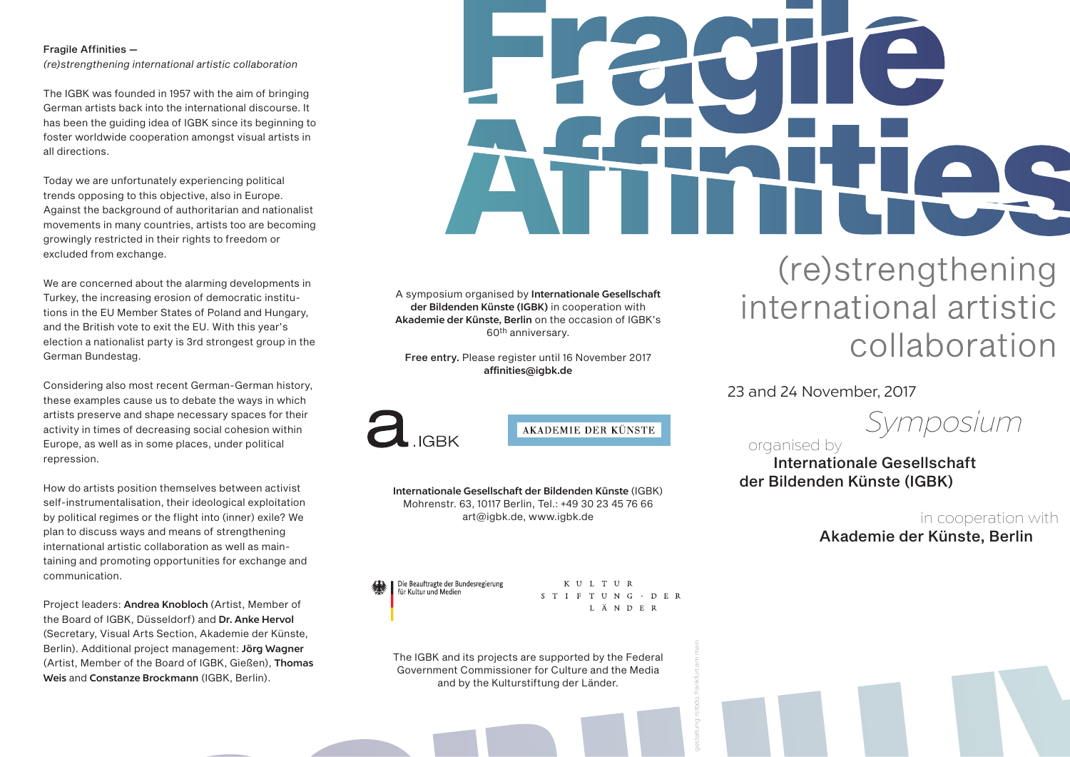#### Fragile Affinities —

*(re)strengthening international artistic collaboration*

The IGBK was founded in 1957 with the aim of bringing German artists back into the international discourse. It has been the guiding idea of IGBK since its beginning to foster worldwide cooperation amongst visual artists in all directions.

Today we are unfortunately experiencing political trends opposing to this objective, also in Europe. Against the background of authoritarian and nationalist movements in many countries, artists too are becoming growingly restricted in their rights to freedom or excluded from exchange.

We are concerned about the alarming developments in Turkey, the increasing erosion of democratic institutions in the EU Member States of Poland and Hungary, and the British vote to exit the EU. With this year's election a nationalist party is 3rd strongest group in the German Bundestag.

Considering also most recent German-German history, these examples cause us to debate the ways in which artists preserve and shape necessary spaces for their activity in times of decreasing social cohesion within Europe, as well as in some places, under political repression.

How do artists position themselves between activist self-instrumentalisation, their ideological exploitation by political regimes or the flight into (inner) exile? We plan to discuss ways and means of strengthening international artistic collaboration as well as maintaining and promoting opportunities for exchange and communication.

Project leaders: Andrea Knobloch (Artist, Member of the Board of IGBK, Düsseldorf) and Dr. Anke Hervol (Secretary, Visual Arts Section, Akademie der Künste, Berlin). Additional project management: Jörg Wagner (Artist, Member of the Board of IGBK, Gießen), Thomas Weis and Constanze Brockmann (IGBK, Berlin).

A symposium organised by Internationale Gesellschaft der Bildenden Künste (IGBK) in cooperation with Akademie der Künste, Berlin on the occasion of IGBK's 60th anniversary.

Free entry. Please register until 16 November 2017 affinities@igbk.de



**AKADEMIE DER KÜNSTE** 

Internationale Gesellschaft der Bildenden Künste (IGBK) Mohrenstr. 63, 10117 Berlin, Tel.: +49 30 23 45 76 66 art@igbk.de, www.igbk.de

Die Beauftragte der Bundesregierung<br>für Kultur und Medien

KULTUR  $S T I F T U N G \cdot D E R$ L Ä N D E R

gestaltung: rstbdo, frankfurt am main

The IGBK and its projects are supported by the Federal Government Commissioner for Culture and the Media and by the Kulturstiftung der Länder.

# (re)strengthening international artistic collaboration

# 23 and 24 November, 2017

 *Symposium* 

organised by

 Internationale Gesellschaft der Bildenden Künste (IGBK)

> in cooperation with Akademie der Künste, Berlin